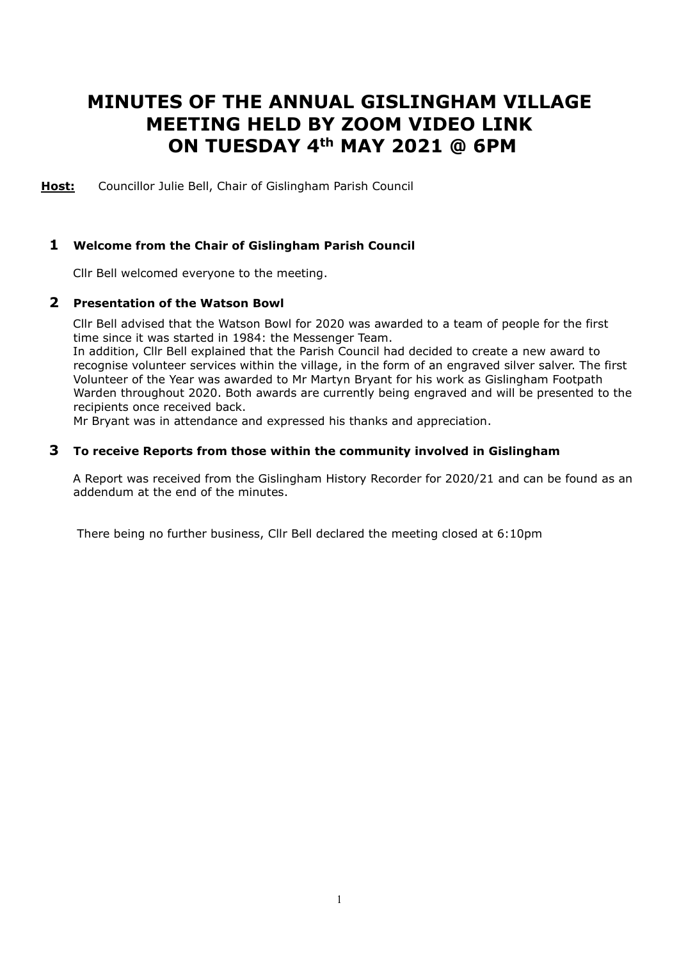# **MINUTES OF THE ANNUAL GISLINGHAM VILLAGE MEETING HELD BY ZOOM VIDEO LINK ON TUESDAY 4th MAY 2021 @ 6PM**

**Host:** Councillor Julie Bell, Chair of Gislingham Parish Council

## **1 Welcome from the Chair of Gislingham Parish Council**

Cllr Bell welcomed everyone to the meeting.

## **2 Presentation of the Watson Bowl**

 Cllr Bell advised that the Watson Bowl for 2020 was awarded to a team of people for the first time since it was started in 1984: the Messenger Team.

 In addition, Cllr Bell explained that the Parish Council had decided to create a new award to recognise volunteer services within the village, in the form of an engraved silver salver. The first Volunteer of the Year was awarded to Mr Martyn Bryant for his work as Gislingham Footpath Warden throughout 2020. Both awards are currently being engraved and will be presented to the recipients once received back.

Mr Bryant was in attendance and expressed his thanks and appreciation.

#### **3 To receive Reports from those within the community involved in Gislingham**

 A Report was received from the Gislingham History Recorder for 2020/21 and can be found as an addendum at the end of the minutes.

There being no further business, Cllr Bell declared the meeting closed at 6:10pm